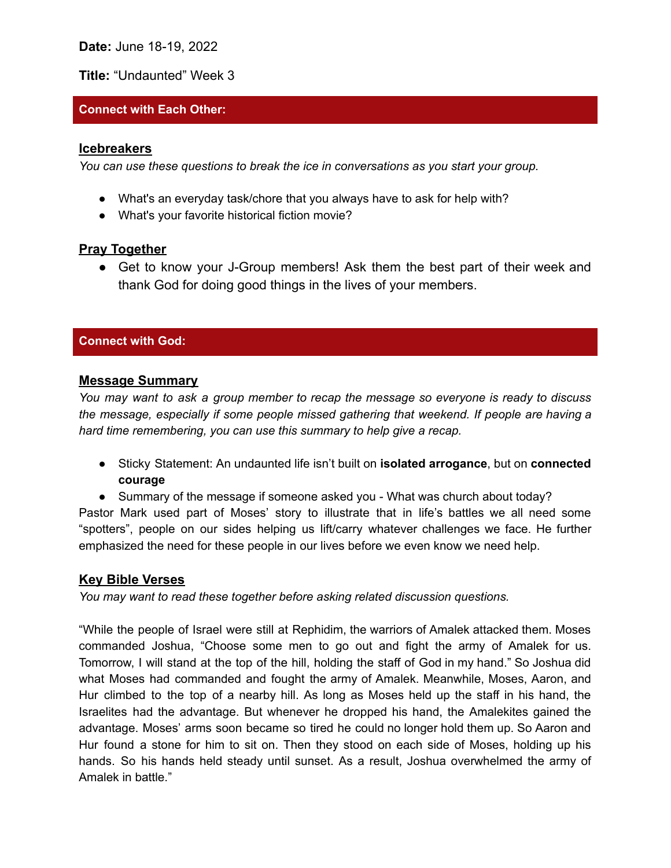**Date:** June 18-19, 2022

**Title:** "Undaunted" Week 3

## **Connect with Each Other:**

#### **Icebreakers**

*You can use these questions to break the ice in conversations as you start your group.*

- What's an everyday task/chore that you always have to ask for help with?
- What's your favorite historical fiction movie?

# **Pray Together**

• Get to know your J-Group members! Ask them the best part of their week and thank God for doing good things in the lives of your members.

### **Connect with God:**

#### **Message Summary**

*You may want to ask a group member to recap the message so everyone is ready to discuss the message, especially if some people missed gathering that weekend. If people are having a hard time remembering, you can use this summary to help give a recap.*

- Sticky Statement: An undaunted life isn't built on **isolated arrogance**, but on **connected courage**
- Summary of the message if someone asked you What was church about today?

Pastor Mark used part of Moses' story to illustrate that in life's battles we all need some "spotters", people on our sides helping us lift/carry whatever challenges we face. He further emphasized the need for these people in our lives before we even know we need help.

## **Key Bible Verses**

*You may want to read these together before asking related discussion questions.*

"While the people of Israel were still at Rephidim, the warriors of Amalek attacked them. Moses commanded Joshua, "Choose some men to go out and fight the army of Amalek for us. Tomorrow, I will stand at the top of the hill, holding the staff of God in my hand." So Joshua did what Moses had commanded and fought the army of Amalek. Meanwhile, Moses, Aaron, and Hur climbed to the top of a nearby hill. As long as Moses held up the staff in his hand, the Israelites had the advantage. But whenever he dropped his hand, the Amalekites gained the advantage. Moses' arms soon became so tired he could no longer hold them up. So Aaron and Hur found a stone for him to sit on. Then they stood on each side of Moses, holding up his hands. So his hands held steady until sunset. As a result, Joshua overwhelmed the army of Amalek in battle."